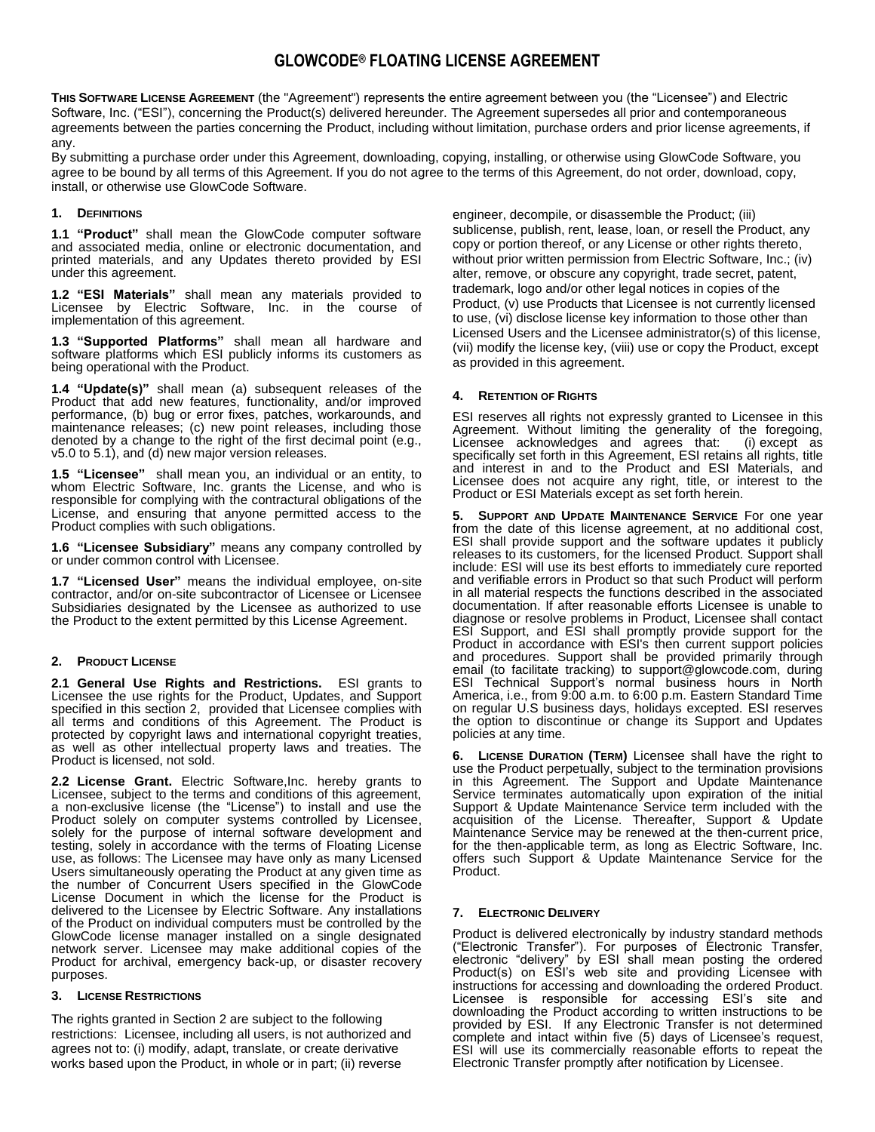# **GLOWCODE® FLOATING LICENSE AGREEMENT**

**THIS SOFTWARE LICENSE AGREEMENT** (the "Agreement") represents the entire agreement between you (the "Licensee") and Electric Software, Inc. ("ESI"), concerning the Product(s) delivered hereunder. The Agreement supersedes all prior and contemporaneous agreements between the parties concerning the Product, including without limitation, purchase orders and prior license agreements, if any.

By submitting a purchase order under this Agreement, downloading, copying, installing, or otherwise using GlowCode Software, you agree to be bound by all terms of this Agreement. If you do not agree to the terms of this Agreement, do not order, download, copy, install, or otherwise use GlowCode Software.

# **1. DEFINITIONS**

**1.1 "Product"** shall mean the GlowCode computer software and associated media, online or electronic documentation, and printed materials, and any Updates thereto provided by ESI under this agreement.

**1.2 "ESI Materials"** shall mean any materials provided to Licensee by Electric Software, Inc. in the course of implementation of this agreement.

**1.3 "Supported Platforms"** shall mean all hardware and software platforms which ESI publicly informs its customers as being operational with the Product.

**1.4 "Update(s)"** shall mean (a) subsequent releases of the Product that add new features, functionality, and/or improved performance, (b) bug or error fixes, patches, workarounds, and maintenance releases; (c) new point releases, including those denoted by a change to the right of the first decimal point (e.g., v5.0 to 5.1), and (d) new major version releases.

**1.5 "Licensee"** shall mean you, an individual or an entity, to whom Electric Software, Inc. grants the License, and who is responsible for complying with the contractural obligations of the License, and ensuring that anyone permitted access to the Product complies with such obligations.

**1.6 "Licensee Subsidiary"** means any company controlled by or under common control with Licensee.

**1.7 "Licensed User"** means the individual employee, on-site contractor, and/or on-site subcontractor of Licensee or Licensee Subsidiaries designated by the Licensee as authorized to use the Product to the extent permitted by this License Agreement.

## **2. PRODUCT LICENSE**

**2.1 General Use Rights and Restrictions.** ESI grants to Licensee the use rights for the Product, Updates, and Support specified in this section 2, provided that Licensee complies with all terms and conditions of this Agreement. The Product is protected by copyright laws and international copyright treaties, as well as other intellectual property laws and treaties. The Product is licensed, not sold.

**2.2 License Grant.** Electric Software,Inc. hereby grants to Licensee, subject to the terms and conditions of this agreement, a non-exclusive license (the "License") to install and use the Product solely on computer systems controlled by Licensee, solely for the purpose of internal software development and testing, solely in accordance with the terms of Floating License use, as follows: The Licensee may have only as many Licensed Users simultaneously operating the Product at any given time as the number of Concurrent Users specified in the GlowCode License Document in which the license for the Product is delivered to the Licensee by Electric Software. Any installations of the Product on individual computers must be controlled by the GlowCode license manager installed on a single designated network server. Licensee may make additional copies of the Product for archival, emergency back-up, or disaster recovery purposes.

## **3. LICENSE RESTRICTIONS**

The rights granted in Section 2 are subject to the following restrictions: Licensee, including all users, is not authorized and agrees not to: (i) modify, adapt, translate, or create derivative works based upon the Product, in whole or in part; (ii) reverse

engineer, decompile, or disassemble the Product; (iii) sublicense, publish, rent, lease, loan, or resell the Product, any copy or portion thereof, or any License or other rights thereto, without prior written permission from Electric Software, Inc.; (iv) alter, remove, or obscure any copyright, trade secret, patent, trademark, logo and/or other legal notices in copies of the Product, (v) use Products that Licensee is not currently licensed to use, (vi) disclose license key information to those other than Licensed Users and the Licensee administrator(s) of this license, (vii) modify the license key, (viii) use or copy the Product, except as provided in this agreement.

# **4. RETENTION OF RIGHTS**

ESI reserves all rights not expressly granted to Licensee in this Agreement. Without limiting the generality of the foregoing, Licensee acknowledges and agrees that: (i) except as specifically set forth in this Agreement, ESI retains all rights, title and interest in and to the Product and ESI Materials, and Licensee does not acquire any right, title, or interest to the Product or ESI Materials except as set forth herein.

**5. SUPPORT AND UPDATE MAINTENANCE SERVICE** For one year from the date of this license agreement, at no additional cost, ESI shall provide support and the software updates it publicly releases to its customers, for the licensed Product. Support shall include: ESI will use its best efforts to immediately cure reported and verifiable errors in Product so that such Product will perform in all material respects the functions described in the associated documentation. If after reasonable efforts Licensee is unable to diagnose or resolve problems in Product, Licensee shall contact ESI Support, and ESI shall promptly provide support for the Product in accordance with ESI's then current support policies and procedures. Support shall be provided primarily through email (to facilitate tracking) to support@glowcode.com, during ESI Technical Support's normal business hours in North America, i.e., from 9:00 a.m. to 6:00 p.m. Eastern Standard Time on regular U.S business days, holidays excepted. ESI reserves the option to discontinue or change its Support and Updates policies at any time.

**6. LICENSE DURATION (TERM)** Licensee shall have the right to use the Product perpetually, subject to the termination provisions in this Agreement. The Support and Update Maintenance Service terminates automatically upon expiration of the initial Support & Update Maintenance Service term included with the acquisition of the License. Thereafter, Support & Update Maintenance Service may be renewed at the then-current price, for the then-applicable term, as long as Electric Software, Inc. offers such Support & Update Maintenance Service for the Product.

## **7. ELECTRONIC DELIVERY**

Product is delivered electronically by industry standard methods ("Electronic Transfer"). For purposes of Electronic Transfer, electronic "delivery" by ESI shall mean posting the ordered Product(s) on ESI's web site and providing Licensee with instructions for accessing and downloading the ordered Product. Licensee is responsible for accessing ESI's site and downloading the Product according to written instructions to be provided by ESI. If any Electronic Transfer is not determined complete and intact within five (5) days of Licensee's request, ESI will use its commercially reasonable efforts to repeat the Electronic Transfer promptly after notification by Licensee.